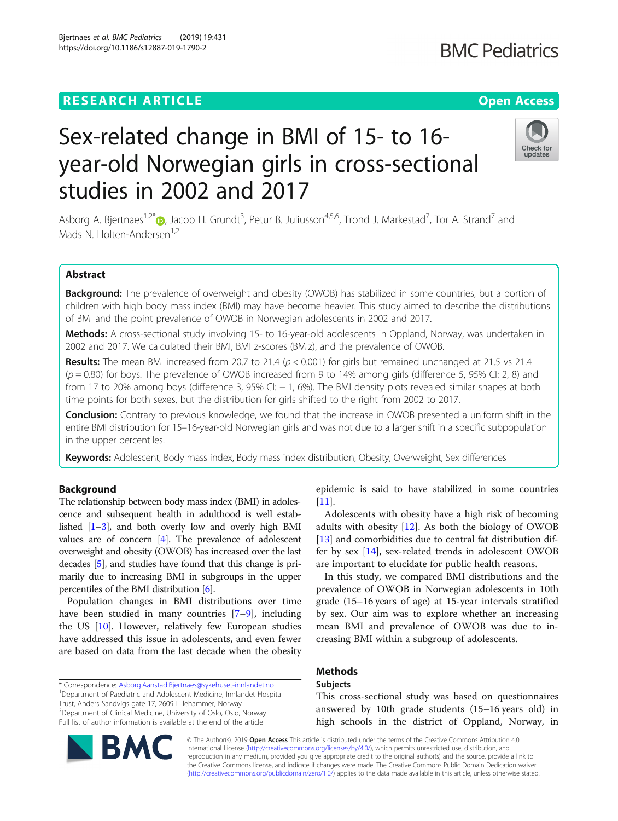## **RESEARCH ARTICLE Example 2014 CONSIDERING A RESEARCH ARTICLE**

# Sex-related change in BMI of 15- to 16 year-old Norwegian girls in cross-sectional studies in 2002 and 2017

Asborg A. Bjertnaes<sup>1,2[\\*](http://orcid.org/0000-0002-0504-4606)</sup> <sub>(b</sub>, Jacob H. Grundt<sup>3</sup>, Petur B. Juliusson<sup>4,5,6</sup>, Trond J. Markestad<sup>7</sup>, Tor A. Strand<sup>7</sup> and Mads N. Holten-Andersen<sup>1,2</sup>

## Abstract

Background: The prevalence of overweight and obesity (OWOB) has stabilized in some countries, but a portion of children with high body mass index (BMI) may have become heavier. This study aimed to describe the distributions of BMI and the point prevalence of OWOB in Norwegian adolescents in 2002 and 2017.

Methods: A cross-sectional study involving 15- to 16-year-old adolescents in Oppland, Norway, was undertaken in 2002 and 2017. We calculated their BMI, BMI z-scores (BMIz), and the prevalence of OWOB.

Results: The mean BMI increased from 20.7 to 21.4 ( $p < 0.001$ ) for girls but remained unchanged at 21.5 vs 21.4  $(p = 0.80)$  for boys. The prevalence of OWOB increased from 9 to 14% among girls (difference 5, 95% CI: 2, 8) and from 17 to 20% among boys (difference 3, 95% CI: − 1, 6%). The BMI density plots revealed similar shapes at both time points for both sexes, but the distribution for girls shifted to the right from 2002 to 2017.

**Conclusion:** Contrary to previous knowledge, we found that the increase in OWOB presented a uniform shift in the entire BMI distribution for 15–16-year-old Norwegian girls and was not due to a larger shift in a specific subpopulation in the upper percentiles.

Keywords: Adolescent, Body mass index, Body mass index distribution, Obesity, Overweight, Sex differences

## Background

The relationship between body mass index (BMI) in adolescence and subsequent health in adulthood is well established  $[1-3]$  $[1-3]$  $[1-3]$ , and both overly low and overly high BMI values are of concern [[4](#page-7-0)]. The prevalence of adolescent overweight and obesity (OWOB) has increased over the last decades [\[5\]](#page-7-0), and studies have found that this change is primarily due to increasing BMI in subgroups in the upper percentiles of the BMI distribution [[6](#page-7-0)].

Population changes in BMI distributions over time have been studied in many countries  $[7-9]$  $[7-9]$  $[7-9]$ , including the US [[10](#page-7-0)]. However, relatively few European studies have addressed this issue in adolescents, and even fewer are based on data from the last decade when the obesity

\* Correspondence: [Asborg.Aanstad.Bjertnaes@sykehuset-innlandet.no](mailto:Asborg.Aanstad.Bjertnaes@sykehuset-innlandet.no) <sup>1</sup>

<sup>1</sup>Department of Paediatric and Adolescent Medicine, Innlandet Hospital Trust, Anders Sandvigs gate 17, 2609 Lillehammer, Norway 2 Department of Clinical Medicine, University of Oslo, Oslo, Norway Full list of author information is available at the end of the article

epidemic is said to have stabilized in some countries  $[11]$  $[11]$ .

Adolescents with obesity have a high risk of becoming adults with obesity [[12\]](#page-7-0). As both the biology of OWOB [[13\]](#page-7-0) and comorbidities due to central fat distribution differ by sex  $[14]$  $[14]$  $[14]$ , sex-related trends in adolescent OWOB are important to elucidate for public health reasons.

In this study, we compared BMI distributions and the prevalence of OWOB in Norwegian adolescents in 10th grade (15–16 years of age) at 15-year intervals stratified by sex. Our aim was to explore whether an increasing mean BMI and prevalence of OWOB was due to increasing BMI within a subgroup of adolescents.

## Methods

## Subjects

This cross-sectional study was based on questionnaires answered by 10th grade students (15–16 years old) in high schools in the district of Oppland, Norway, in

© The Author(s). 2019 **Open Access** This article is distributed under the terms of the Creative Commons Attribution 4.0 International License [\(http://creativecommons.org/licenses/by/4.0/](http://creativecommons.org/licenses/by/4.0/)), which permits unrestricted use, distribution, and reproduction in any medium, provided you give appropriate credit to the original author(s) and the source, provide a link to the Creative Commons license, and indicate if changes were made. The Creative Commons Public Domain Dedication waiver [\(http://creativecommons.org/publicdomain/zero/1.0/](http://creativecommons.org/publicdomain/zero/1.0/)) applies to the data made available in this article, unless otherwise stated.





## **BMC Pediatrics**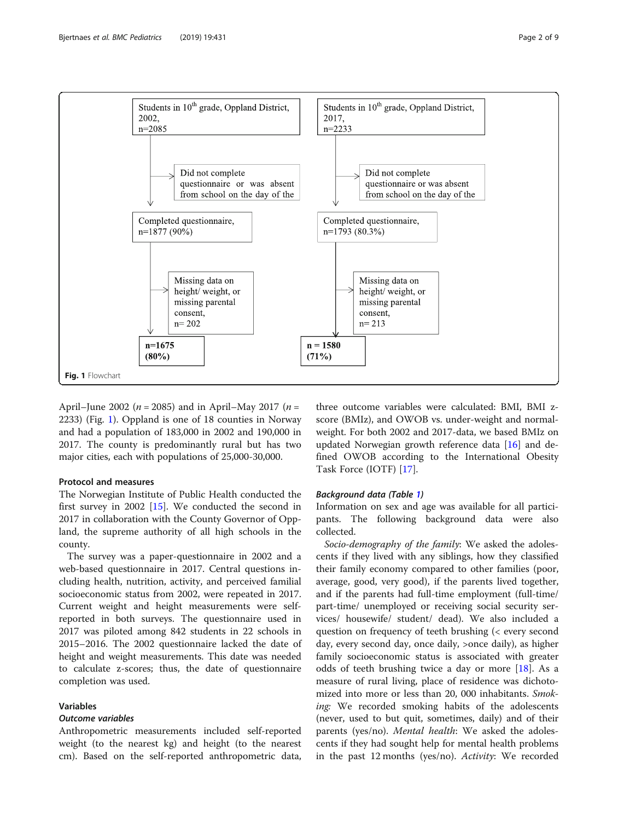



April–June 2002 ( $n = 2085$ ) and in April–May 2017 ( $n =$ 2233) (Fig. 1). Oppland is one of 18 counties in Norway and had a population of 183,000 in 2002 and 190,000 in 2017. The county is predominantly rural but has two major cities, each with populations of 25,000-30,000.

## Protocol and measures

The Norwegian Institute of Public Health conducted the first survey in 2002 [\[15](#page-7-0)]. We conducted the second in 2017 in collaboration with the County Governor of Oppland, the supreme authority of all high schools in the county.

The survey was a paper-questionnaire in 2002 and a web-based questionnaire in 2017. Central questions including health, nutrition, activity, and perceived familial socioeconomic status from 2002, were repeated in 2017. Current weight and height measurements were selfreported in both surveys. The questionnaire used in 2017 was piloted among 842 students in 22 schools in 2015–2016. The 2002 questionnaire lacked the date of height and weight measurements. This date was needed to calculate z-scores; thus, the date of questionnaire completion was used.

## Variables

#### Outcome variables

Anthropometric measurements included self-reported weight (to the nearest kg) and height (to the nearest cm). Based on the self-reported anthropometric data, three outcome variables were calculated: BMI, BMI zscore (BMIz), and OWOB vs. under-weight and normalweight. For both 2002 and 2017-data, we based BMIz on updated Norwegian growth reference data [\[16](#page-7-0)] and defined OWOB according to the International Obesity Task Force (IOTF) [[17\]](#page-7-0).

## Background data (Table [1\)](#page-2-0)

Information on sex and age was available for all participants. The following background data were also collected.

Socio-demography of the family: We asked the adolescents if they lived with any siblings, how they classified their family economy compared to other families (poor, average, good, very good), if the parents lived together, and if the parents had full-time employment (full-time/ part-time/ unemployed or receiving social security services/ housewife/ student/ dead). We also included a question on frequency of teeth brushing (< every second day, every second day, once daily, >once daily), as higher family socioeconomic status is associated with greater odds of teeth brushing twice a day or more  $[18]$  $[18]$ . As a measure of rural living, place of residence was dichotomized into more or less than 20, 000 inhabitants. Smoking: We recorded smoking habits of the adolescents (never, used to but quit, sometimes, daily) and of their parents (yes/no). Mental health: We asked the adolescents if they had sought help for mental health problems in the past 12 months (yes/no). Activity: We recorded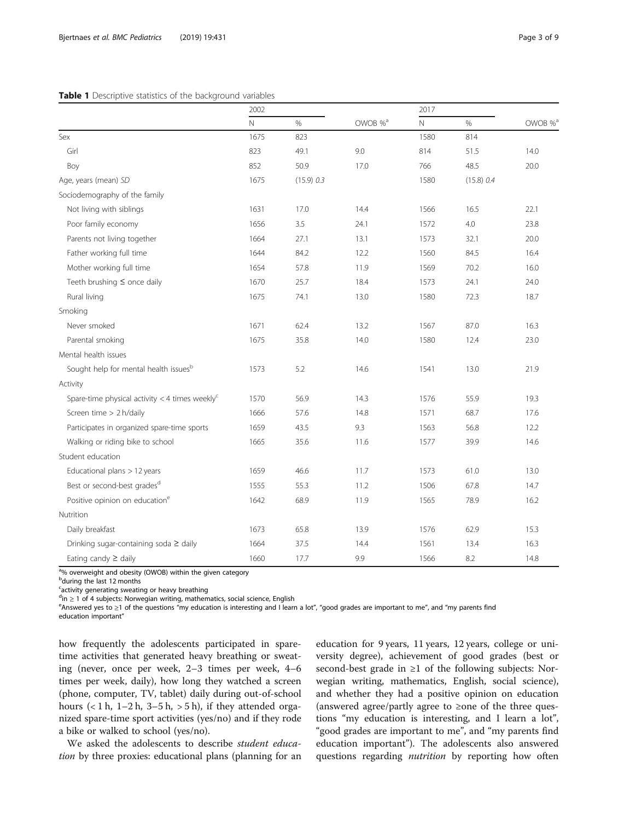#### <span id="page-2-0"></span>Table 1 Descriptive statistics of the background variables

|                                                              | 2002 |            |                     | 2017         |            |                     |
|--------------------------------------------------------------|------|------------|---------------------|--------------|------------|---------------------|
|                                                              | N    | $\%$       | OWOB % <sup>a</sup> | $\mathbb{N}$ | $\%$       | OWOB % <sup>a</sup> |
| Sex                                                          | 1675 | 823        |                     | 1580         | 814        |                     |
| Girl                                                         | 823  | 49.1       | 9.0                 | 814          | 51.5       | 14.0                |
| Boy                                                          | 852  | 50.9       | 17.0                | 766          | 48.5       | 20.0                |
| Age, years (mean) SD                                         | 1675 | (15.9) 0.3 |                     | 1580         | (15.8) 0.4 |                     |
| Sociodemography of the family                                |      |            |                     |              |            |                     |
| Not living with siblings                                     | 1631 | 17.0       | 14.4                | 1566         | 16.5       | 22.1                |
| Poor family economy                                          | 1656 | 3.5        | 24.1                | 1572         | 4.0        | 23.8                |
| Parents not living together                                  | 1664 | 27.1       | 13.1                | 1573         | 32.1       | 20.0                |
| Father working full time                                     | 1644 | 84.2       | 12.2                | 1560         | 84.5       | 16.4                |
| Mother working full time                                     | 1654 | 57.8       | 11.9                | 1569         | 70.2       | 16.0                |
| Teeth brushing $\leq$ once daily                             | 1670 | 25.7       | 18.4                | 1573         | 24.1       | 24.0                |
| Rural living                                                 | 1675 | 74.1       | 13.0                | 1580         | 72.3       | 18.7                |
| Smoking                                                      |      |            |                     |              |            |                     |
| Never smoked                                                 | 1671 | 62.4       | 13.2                | 1567         | 87.0       | 16.3                |
| Parental smoking                                             | 1675 | 35.8       | 14.0                | 1580         | 12.4       | 23.0                |
| Mental health issues                                         |      |            |                     |              |            |                     |
| Sought help for mental health issuesb                        | 1573 | 5.2        | 14.6                | 1541         | 13.0       | 21.9                |
| Activity                                                     |      |            |                     |              |            |                     |
| Spare-time physical activity $<$ 4 times weekly <sup>c</sup> | 1570 | 56.9       | 14.3                | 1576         | 55.9       | 19.3                |
| Screen time > 2 h/daily                                      | 1666 | 57.6       | 14.8                | 1571         | 68.7       | 17.6                |
| Participates in organized spare-time sports                  | 1659 | 43.5       | 9.3                 | 1563         | 56.8       | 12.2                |
| Walking or riding bike to school                             | 1665 | 35.6       | 11.6                | 1577         | 39.9       | 14.6                |
| Student education                                            |      |            |                     |              |            |                     |
| Educational plans > 12 years                                 | 1659 | 46.6       | 11.7                | 1573         | 61.0       | 13.0                |
| Best or second-best grades <sup>d</sup>                      | 1555 | 55.3       | 11.2                | 1506         | 67.8       | 14.7                |
| Positive opinion on education <sup>e</sup>                   | 1642 | 68.9       | 11.9                | 1565         | 78.9       | 16.2                |
| Nutrition                                                    |      |            |                     |              |            |                     |
| Daily breakfast                                              | 1673 | 65.8       | 13.9                | 1576         | 62.9       | 15.3                |
| Drinking sugar-containing soda $\geq$ daily                  | 1664 | 37.5       | 14.4                | 1561         | 13.4       | 16.3                |
| Eating candy $\geq$ daily                                    | 1660 | 17.7       | 9.9                 | 1566         | 8.2        | 14.8                |

<sup>a</sup>% overweight and obesity (OWOB) within the given category

<sup>b</sup>during the last 12 months

<sup>c</sup>activity generating sweating or heavy breathing

 $\text{d}^{\text{d}}$  in ≥ 1 of 4 subjects: Norwegian writing, mathematics, social science, English expression and Learn

<sup>e</sup> Answered yes to ≥1 of the questions "my education is interesting and I learn a lot", "good grades are important to me", and "my parents find

education important"

how frequently the adolescents participated in sparetime activities that generated heavy breathing or sweating (never, once per week, 2–3 times per week, 4–6 times per week, daily), how long they watched a screen (phone, computer, TV, tablet) daily during out-of-school hours  $(< 1 h, 1-2 h, 3-5 h, > 5 h)$ , if they attended organized spare-time sport activities (yes/no) and if they rode a bike or walked to school (yes/no).

We asked the adolescents to describe *student educa*tion by three proxies: educational plans (planning for an

education for 9 years, 11 years, 12 years, college or university degree), achievement of good grades (best or second-best grade in ≥1 of the following subjects: Norwegian writing, mathematics, English, social science), and whether they had a positive opinion on education (answered agree/partly agree to ≥one of the three questions "my education is interesting, and I learn a lot", "good grades are important to me", and "my parents find education important"). The adolescents also answered questions regarding *nutrition* by reporting how often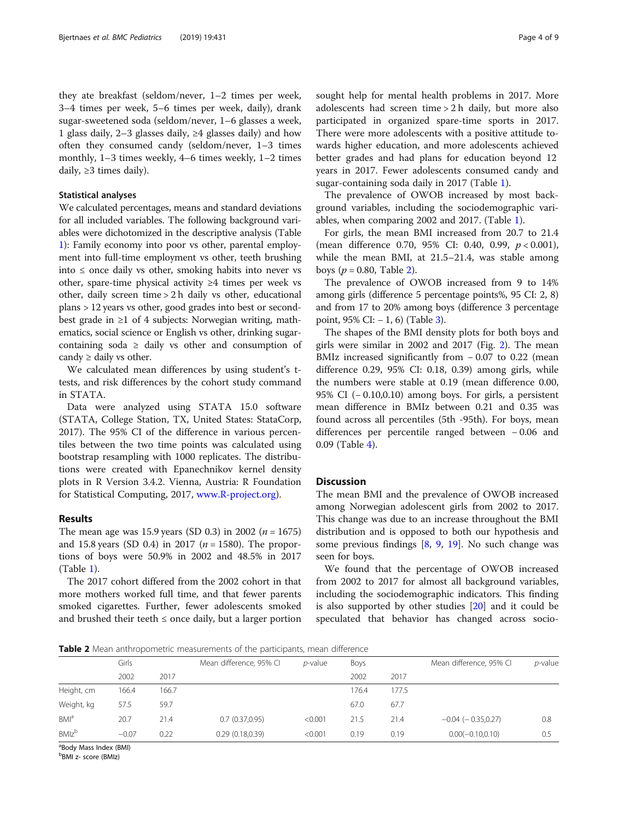they ate breakfast (seldom/never, 1–2 times per week, 3–4 times per week, 5–6 times per week, daily), drank sugar-sweetened soda (seldom/never, 1–6 glasses a week, 1 glass daily, 2–3 glasses daily, ≥4 glasses daily) and how often they consumed candy (seldom/never, 1–3 times monthly, 1–3 times weekly, 4–6 times weekly, 1–2 times daily,  $\geq$ 3 times daily).

#### Statistical analyses

We calculated percentages, means and standard deviations for all included variables. The following background variables were dichotomized in the descriptive analysis (Table [1\)](#page-2-0): Family economy into poor vs other, parental employment into full-time employment vs other, teeth brushing into ≤ once daily vs other, smoking habits into never vs other, spare-time physical activity ≥4 times per week vs other, daily screen time > 2 h daily vs other, educational plans > 12 years vs other, good grades into best or secondbest grade in  $\geq 1$  of 4 subjects: Norwegian writing, mathematics, social science or English vs other, drinking sugarcontaining soda  $\geq$  daily vs other and consumption of candy  $\geq$  daily vs other.

We calculated mean differences by using student's ttests, and risk differences by the cohort study command in STATA.

Data were analyzed using STATA 15.0 software (STATA, College Station, TX, United States: StataCorp, 2017). The 95% CI of the difference in various percentiles between the two time points was calculated using bootstrap resampling with 1000 replicates. The distributions were created with Epanechnikov kernel density plots in R Version 3.4.2. Vienna, Austria: R Foundation for Statistical Computing, 2017, [www.R-project.org\)](http://www.r-project.org).

#### Results

The mean age was 15.9 years (SD 0.3) in 2002 ( $n = 1675$ ) and 15.8 years (SD 0.4) in 2017 ( $n = 1580$ ). The proportions of boys were 50.9% in 2002 and 48.5% in 2017 (Table [1\)](#page-2-0).

The 2017 cohort differed from the 2002 cohort in that more mothers worked full time, and that fewer parents smoked cigarettes. Further, fewer adolescents smoked and brushed their teeth  $\leq$  once daily, but a larger portion sought help for mental health problems in 2017. More adolescents had screen time > 2 h daily, but more also participated in organized spare-time sports in 2017. There were more adolescents with a positive attitude towards higher education, and more adolescents achieved better grades and had plans for education beyond 12 years in 2017. Fewer adolescents consumed candy and sugar-containing soda daily in 2017 (Table [1](#page-2-0)).

The prevalence of OWOB increased by most background variables, including the sociodemographic variables, when comparing 2002 and 2017. (Table [1\)](#page-2-0).

For girls, the mean BMI increased from 20.7 to 21.4 (mean difference 0.70, 95% CI: 0.40, 0.99, p < 0.001), while the mean BMI, at 21.5–21.4, was stable among boys ( $p = 0.80$ , Table 2).

The prevalence of OWOB increased from 9 to 14% among girls (difference 5 percentage points%, 95 CI: 2, 8) and from 17 to 20% among boys (difference 3 percentage point, 95% CI: −1, 6) (Table [3\)](#page-4-0).

The shapes of the BMI density plots for both boys and girls were similar in 2002 and 2017 (Fig. [2](#page-4-0)). The mean BMIz increased significantly from − 0.07 to 0.22 (mean difference 0.29, 95% CI: 0.18, 0.39) among girls, while the numbers were stable at 0.19 (mean difference 0.00, 95% CI (− 0.10,0.10) among boys. For girls, a persistent mean difference in BMIz between 0.21 and 0.35 was found across all percentiles (5th -95th). For boys, mean differences per percentile ranged between − 0.06 and 0.09 (Table [4\)](#page-5-0).

## **Discussion**

The mean BMI and the prevalence of OWOB increased among Norwegian adolescent girls from 2002 to 2017. This change was due to an increase throughout the BMI distribution and is opposed to both our hypothesis and some previous findings  $[8, 9, 19]$  $[8, 9, 19]$  $[8, 9, 19]$  $[8, 9, 19]$  $[8, 9, 19]$  $[8, 9, 19]$ . No such change was seen for boys.

We found that the percentage of OWOB increased from 2002 to 2017 for almost all background variables, including the sociodemographic indicators. This finding is also supported by other studies [[20\]](#page-7-0) and it could be speculated that behavior has changed across socio-

**Table 2** Mean anthropometric measurements of the participants, mean difference

|                 | Girls   |       | Mean difference, 95% Cl | <i>p</i> -value | Boys  |       | Mean difference, 95% CI  | $p$ -value |
|-----------------|---------|-------|-------------------------|-----------------|-------|-------|--------------------------|------------|
|                 | 2002    | 2017  |                         |                 | 2002  | 2017  |                          |            |
| Height, cm      | 166.4   | 166.7 |                         |                 | 176.4 | 177.5 |                          |            |
| Weight, kg      | 57.5    | 59.7  |                         |                 | 67.0  | 67.7  |                          |            |
| BM <sup>a</sup> | 20.7    | 21.4  | 0.7(0.37,0.95)          | < 0.001         | 21.5  | 21.4  | $-0.04$ ( $-0.35,0.27$ ) | 0.8        |
| <b>BMIz</b> b   | $-0.07$ | 0.22  | 0.29(0.18, 0.39)        | < 0.001         | 0.19  | 0.19  | $0.00(-0.10, 0.10)$      | 0.5        |
|                 |         |       |                         |                 |       |       |                          |            |

<sup>a</sup>Body Mass Index (BMI)

b BMI z- score (BMIz)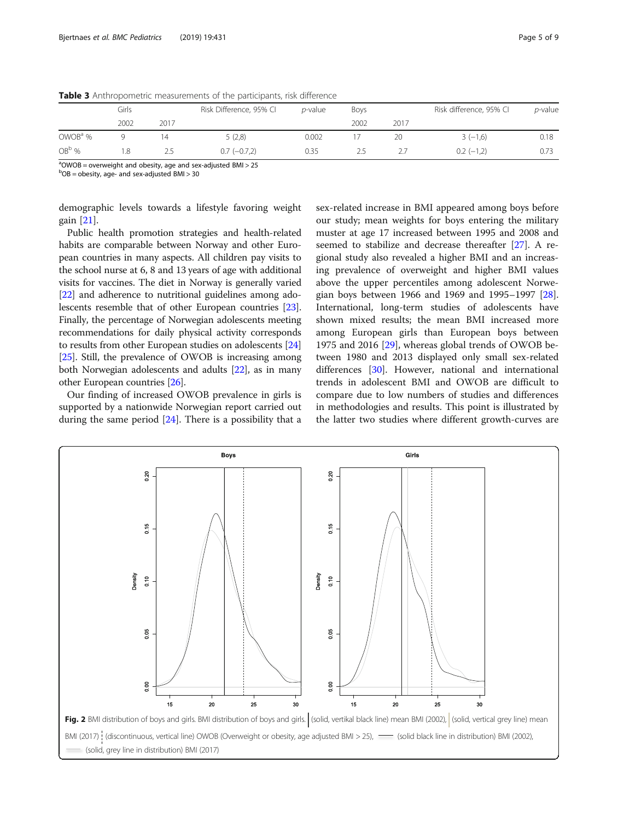|                     | Girls |      | Risk Difference, 95% CI | <i>p</i> -value | <b>Boys</b> |      | Risk difference, 95% CI | <i>p</i> -value |
|---------------------|-------|------|-------------------------|-----------------|-------------|------|-------------------------|-----------------|
|                     | 2002  | 2017 |                         |                 | 2002        | 2017 |                         |                 |
| OWOB <sup>a</sup> % |       | 4    | 5 (2,8)                 | 0.002           |             |      | $3(-1,6)$               | 0.18            |
| $OBb$ %             |       | 2.5  | $0.7$ ( $-0.7,2$ )      | 0.35            | 2.5         | Ζ.,  | $0.2(-1,2)$             | 0.73            |

<span id="page-4-0"></span>Table 3 Anthropometric measurements of the participants, risk difference

<sup>a</sup>OWOB = overweight and obesity, age and sex-adjusted BMI > 25

b OB = obesity, age- and sex-adjusted BMI > 30

demographic levels towards a lifestyle favoring weight gain [[21\]](#page-7-0).

Public health promotion strategies and health-related habits are comparable between Norway and other European countries in many aspects. All children pay visits to the school nurse at 6, 8 and 13 years of age with additional visits for vaccines. The diet in Norway is generally varied [[22](#page-7-0)] and adherence to nutritional guidelines among adolescents resemble that of other European countries [[23](#page-7-0)]. Finally, the percentage of Norwegian adolescents meeting recommendations for daily physical activity corresponds to results from other European studies on adolescents [[24](#page-7-0)] [[25](#page-7-0)]. Still, the prevalence of OWOB is increasing among both Norwegian adolescents and adults [\[22\]](#page-7-0), as in many other European countries [\[26\]](#page-7-0).

Our finding of increased OWOB prevalence in girls is supported by a nationwide Norwegian report carried out during the same period [[24](#page-7-0)]. There is a possibility that a sex-related increase in BMI appeared among boys before our study; mean weights for boys entering the military muster at age 17 increased between 1995 and 2008 and seemed to stabilize and decrease thereafter [[27\]](#page-7-0). A regional study also revealed a higher BMI and an increasing prevalence of overweight and higher BMI values above the upper percentiles among adolescent Norwegian boys between 1966 and 1969 and 1995–1997 [\[28](#page-7-0)]. International, long-term studies of adolescents have shown mixed results; the mean BMI increased more among European girls than European boys between 1975 and 2016 [[29\]](#page-7-0), whereas global trends of OWOB between 1980 and 2013 displayed only small sex-related differences [\[30](#page-7-0)]. However, national and international trends in adolescent BMI and OWOB are difficult to compare due to low numbers of studies and differences in methodologies and results. This point is illustrated by the latter two studies where different growth-curves are

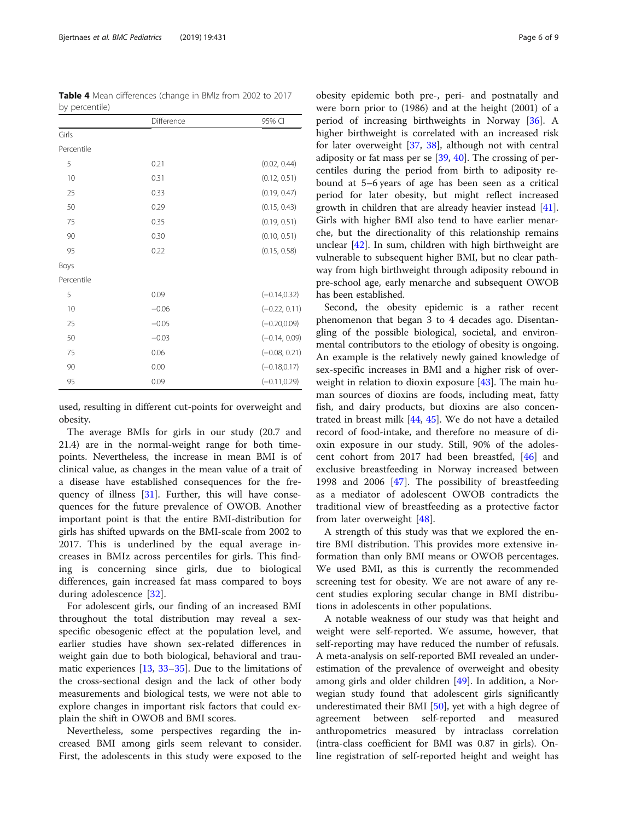<span id="page-5-0"></span>Table 4 Mean differences (change in BMIz from 2002 to 2017 by percentile)

|            | Difference | 95% CI          |
|------------|------------|-----------------|
| Girls      |            |                 |
| Percentile |            |                 |
| 5          | 0.21       | (0.02, 0.44)    |
| 10         | 0.31       | (0.12, 0.51)    |
| 25         | 0.33       | (0.19, 0.47)    |
| 50         | 0.29       | (0.15, 0.43)    |
| 75         | 0.35       | (0.19, 0.51)    |
| 90         | 0.30       | (0.10, 0.51)    |
| 95         | 0.22       | (0.15, 0.58)    |
| Boys       |            |                 |
| Percentile |            |                 |
| 5          | 0.09       | $(-0.14, 0.32)$ |
| 10         | $-0.06$    | $(-0.22, 0.11)$ |
| 25         | $-0.05$    | $(-0.20, 0.09)$ |
| 50         | $-0.03$    | $(-0.14, 0.09)$ |
| 75         | 0.06       | $(-0.08, 0.21)$ |
| 90         | 0.00       | $(-0.18, 0.17)$ |
| 95         | 0.09       | $(-0.11, 0.29)$ |

used, resulting in different cut-points for overweight and obesity.

The average BMIs for girls in our study (20.7 and 21.4) are in the normal-weight range for both timepoints. Nevertheless, the increase in mean BMI is of clinical value, as changes in the mean value of a trait of a disease have established consequences for the frequency of illness [\[31](#page-7-0)]. Further, this will have consequences for the future prevalence of OWOB. Another important point is that the entire BMI-distribution for girls has shifted upwards on the BMI-scale from 2002 to 2017. This is underlined by the equal average increases in BMIz across percentiles for girls. This finding is concerning since girls, due to biological differences, gain increased fat mass compared to boys during adolescence [[32\]](#page-7-0).

For adolescent girls, our finding of an increased BMI throughout the total distribution may reveal a sexspecific obesogenic effect at the population level, and earlier studies have shown sex-related differences in weight gain due to both biological, behavioral and traumatic experiences  $[13, 33-35]$  $[13, 33-35]$  $[13, 33-35]$  $[13, 33-35]$  $[13, 33-35]$  $[13, 33-35]$ . Due to the limitations of the cross-sectional design and the lack of other body measurements and biological tests, we were not able to explore changes in important risk factors that could explain the shift in OWOB and BMI scores.

Nevertheless, some perspectives regarding the increased BMI among girls seem relevant to consider. First, the adolescents in this study were exposed to the obesity epidemic both pre-, peri- and postnatally and were born prior to (1986) and at the height (2001) of a period of increasing birthweights in Norway [\[36](#page-7-0)]. A higher birthweight is correlated with an increased risk for later overweight [\[37,](#page-7-0) [38](#page-7-0)], although not with central adiposity or fat mass per se [\[39](#page-7-0), [40](#page-7-0)]. The crossing of percentiles during the period from birth to adiposity rebound at 5–6 years of age has been seen as a critical period for later obesity, but might reflect increased growth in children that are already heavier instead [\[41](#page-7-0)]. Girls with higher BMI also tend to have earlier menarche, but the directionality of this relationship remains unclear [[42](#page-7-0)]. In sum, children with high birthweight are vulnerable to subsequent higher BMI, but no clear pathway from high birthweight through adiposity rebound in pre-school age, early menarche and subsequent OWOB has been established.

Second, the obesity epidemic is a rather recent phenomenon that began 3 to 4 decades ago. Disentangling of the possible biological, societal, and environmental contributors to the etiology of obesity is ongoing. An example is the relatively newly gained knowledge of sex-specific increases in BMI and a higher risk of overweight in relation to dioxin exposure [\[43](#page-7-0)]. The main human sources of dioxins are foods, including meat, fatty fish, and dairy products, but dioxins are also concentrated in breast milk [[44](#page-7-0), [45\]](#page-7-0). We do not have a detailed record of food-intake, and therefore no measure of dioxin exposure in our study. Still, 90% of the adolescent cohort from 2017 had been breastfed, [[46\]](#page-7-0) and exclusive breastfeeding in Norway increased between 1998 and 2006 [[47\]](#page-7-0). The possibility of breastfeeding as a mediator of adolescent OWOB contradicts the traditional view of breastfeeding as a protective factor from later overweight [\[48](#page-8-0)].

A strength of this study was that we explored the entire BMI distribution. This provides more extensive information than only BMI means or OWOB percentages. We used BMI, as this is currently the recommended screening test for obesity. We are not aware of any recent studies exploring secular change in BMI distributions in adolescents in other populations.

A notable weakness of our study was that height and weight were self-reported. We assume, however, that self-reporting may have reduced the number of refusals. A meta-analysis on self-reported BMI revealed an underestimation of the prevalence of overweight and obesity among girls and older children [\[49](#page-8-0)]. In addition, a Norwegian study found that adolescent girls significantly underestimated their BMI [[50\]](#page-8-0), yet with a high degree of agreement between self-reported and measured anthropometrics measured by intraclass correlation (intra-class coefficient for BMI was 0.87 in girls). Online registration of self-reported height and weight has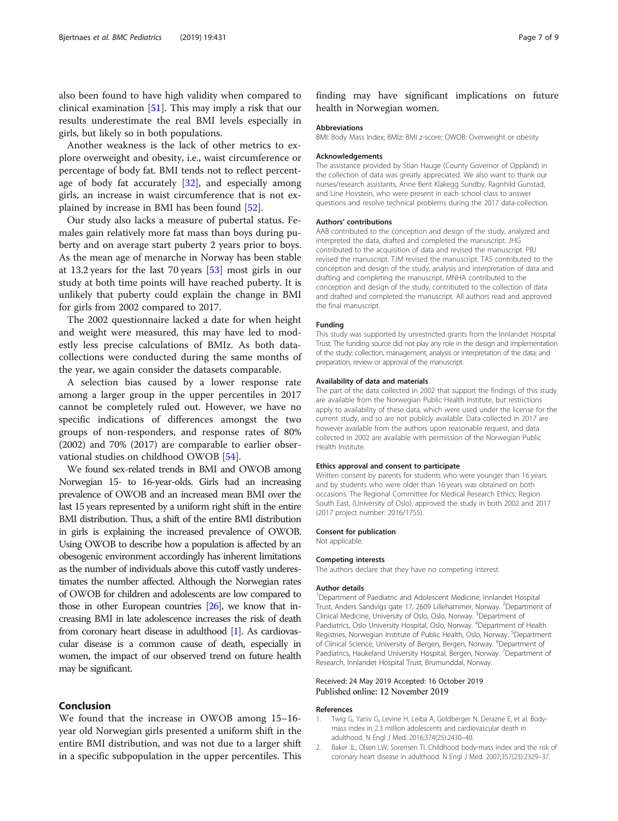<span id="page-6-0"></span>also been found to have high validity when compared to clinical examination [\[51](#page-8-0)]. This may imply a risk that our results underestimate the real BMI levels especially in girls, but likely so in both populations.

Another weakness is the lack of other metrics to explore overweight and obesity, i.e., waist circumference or percentage of body fat. BMI tends not to reflect percentage of body fat accurately [\[32](#page-7-0)], and especially among girls, an increase in waist circumference that is not explained by increase in BMI has been found [[52](#page-8-0)].

Our study also lacks a measure of pubertal status. Females gain relatively more fat mass than boys during puberty and on average start puberty 2 years prior to boys. As the mean age of menarche in Norway has been stable at 13.2 years for the last 70 years [[53\]](#page-8-0) most girls in our study at both time points will have reached puberty. It is unlikely that puberty could explain the change in BMI for girls from 2002 compared to 2017.

The 2002 questionnaire lacked a date for when height and weight were measured, this may have led to modestly less precise calculations of BMIz. As both datacollections were conducted during the same months of the year, we again consider the datasets comparable.

A selection bias caused by a lower response rate among a larger group in the upper percentiles in 2017 cannot be completely ruled out. However, we have no specific indications of differences amongst the two groups of non-responders, and response rates of 80% (2002) and 70% (2017) are comparable to earlier observational studies on childhood OWOB [\[54](#page-8-0)].

We found sex-related trends in BMI and OWOB among Norwegian 15- to 16-year-olds. Girls had an increasing prevalence of OWOB and an increased mean BMI over the last 15 years represented by a uniform right shift in the entire BMI distribution. Thus, a shift of the entire BMI distribution in girls is explaining the increased prevalence of OWOB. Using OWOB to describe how a population is affected by an obesogenic environment accordingly has inherent limitations as the number of individuals above this cutoff vastly underestimates the number affected. Although the Norwegian rates of OWOB for children and adolescents are low compared to those in other European countries [\[26\]](#page-7-0), we know that increasing BMI in late adolescence increases the risk of death from coronary heart disease in adulthood [1]. As cardiovascular disease is a common cause of death, especially in women, the impact of our observed trend on future health may be significant.

## Conclusion

We found that the increase in OWOB among 15–16 year old Norwegian girls presented a uniform shift in the entire BMI distribution, and was not due to a larger shift in a specific subpopulation in the upper percentiles. This

finding may have significant implications on future health in Norwegian women.

#### Abbreviations

BMI: Body Mass Index; BMIz: BMI z-score; OWOB: Overweight or obesity

#### Acknowledgements

The assistance provided by Stian Hauge (County Governor of Oppland) in the collection of data was greatly appreciated. We also want to thank our nurses/research assistants, Anne Berit Klakegg Sundby, Ragnhild Gunstad, and Line Hovstein, who were present in each school class to answer questions and resolve technical problems during the 2017 data-collection.

#### Authors' contributions

AAB contributed to the conception and design of the study, analyzed and interpreted the data, drafted and completed the manuscript. JHG contributed to the acquisition of data and revised the manuscript. PBJ revised the manuscript. TJM revised the manuscript. TAS contributed to the conception and design of the study, analysis and interpretation of data and drafting and completing the manuscript. MNHA contributed to the conception and design of the study, contributed to the collection of data and drafted and completed the manuscript. All authors read and approved the final manuscript.

#### Funding

This study was supported by unrestricted grants from the Innlandet Hospital Trust. The funding source did not play any role in the design and implementation of the study; collection, management, analysis or interpretation of the data; and preparation, review or approval of the manuscript.

#### Availability of data and materials

The part of the data collected in 2002 that support the findings of this study are available from the Norwegian Public Health Institute, but restrictions apply to availability of these data, which were used under the license for the current study, and so are not publicly available. Data collected in 2017 are however available from the authors upon reasonable request, and data collected in 2002 are available with permission of the Norwegian Public Health Institute.

#### Ethics approval and consent to participate

Written consent by parents for students who were younger than 16 years and by students who were older than 16 years was obtained on both occasions. The Regional Committee for Medical Research Ethics; Region South East, (University of Oslo), approved the study in both 2002 and 2017 (2017 project number: 2016/1755).

#### Consent for publication

Not applicable.

#### Competing interests

The authors declare that they have no competing interest.

#### Author details

<sup>1</sup>Department of Paediatric and Adolescent Medicine, Innlandet Hospital Trust, Anders Sandvigs gate 17, 2609 Lillehammer, Norway. <sup>2</sup>Department of Clinical Medicine, University of Oslo, Oslo, Norway. <sup>3</sup>Department of Paediatrics, Oslo University Hospital, Oslo, Norway. <sup>4</sup>Department of Health Registries, Norwegian Institute of Public Health, Oslo, Norway. <sup>5</sup>Department of Clinical Science, University of Bergen, Bergen, Norway. <sup>6</sup>Department of Paediatrics, Haukeland University Hospital, Bergen, Norway. <sup>7</sup>Department of Research, Innlandet Hospital Trust, Brumunddal, Norway.

#### Received: 24 May 2019 Accepted: 16 October 2019 Published online: 12 November 2019

#### References

- 1. Twig G, Yaniv G, Levine H, Leiba A, Goldberger N, Derazne E, et al. Bodymass index in 2.3 million adolescents and cardiovascular death in adulthood. N Engl J Med. 2016;374(25):2430–40.
- 2. Baker JL, Olsen LW, Sorensen TI. Childhood body-mass index and the risk of coronary heart disease in adulthood. N Engl J Med. 2007;357(23):2329–37.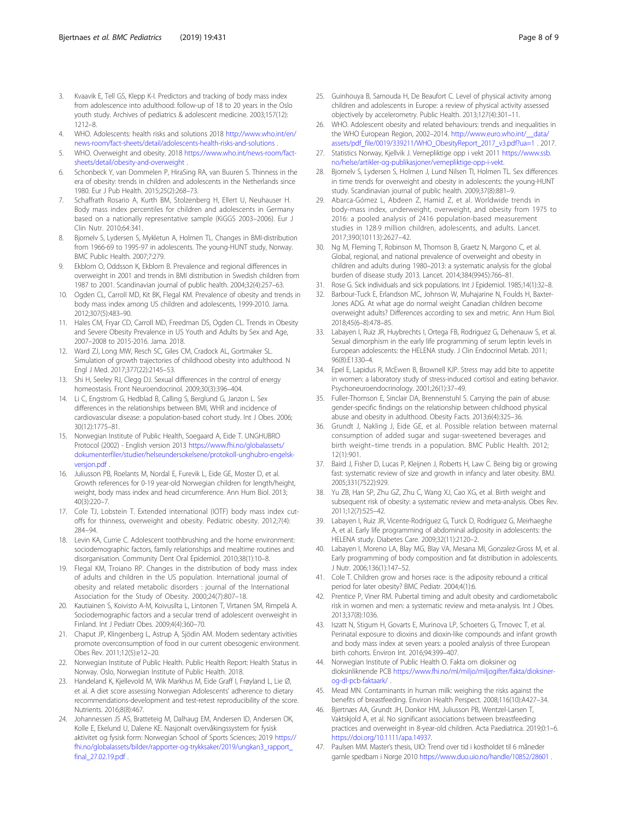- <span id="page-7-0"></span>3. Kvaavik E, Tell GS, Klepp K-I. Predictors and tracking of body mass index from adolescence into adulthood: follow-up of 18 to 20 years in the Oslo youth study. Archives of pediatrics & adolescent medicine. 2003;157(12): 1212–8.
- 4. WHO. Adolescents: health risks and solutions 2018 [http://www.who.int/en/](http://www.who.int/en/news-room/fact-sheets/detail/adolescents-health-risks-and-solutions) [news-room/fact-sheets/detail/adolescents-health-risks-and-solutions](http://www.who.int/en/news-room/fact-sheets/detail/adolescents-health-risks-and-solutions) .
- 5. WHO. Overweight and obesity. 2018 [https://www.who.int/news-room/fact](https://www.who.int/news-room/fact-sheets/detail/obesity-and-overweight)[sheets/detail/obesity-and-overweight](https://www.who.int/news-room/fact-sheets/detail/obesity-and-overweight) .
- 6. Schonbeck Y, van Dommelen P, HiraSing RA, van Buuren S. Thinness in the era of obesity: trends in children and adolescents in the Netherlands since 1980. Eur J Pub Health. 2015;25(2):268–73.
- 7. Schaffrath Rosario A, Kurth BM, Stolzenberg H, Ellert U, Neuhauser H. Body mass index percentiles for children and adolescents in Germany based on a nationally representative sample (KiGGS 2003–2006). Eur J Clin Nutr. 2010;64:341.
- 8. Bjornelv S, Lydersen S, Mykletun A, Holmen TL. Changes in BMI-distribution from 1966-69 to 1995-97 in adolescents. The young-HUNT study, Norway. BMC Public Health. 2007;7:279.
- 9. Ekblom O, Oddsson K, Ekblom B. Prevalence and regional differences in overweight in 2001 and trends in BMI distribution in Swedish children from 1987 to 2001. Scandinavian journal of public health. 2004;32(4):257–63.
- 10. Ogden CL, Carroll MD, Kit BK, Flegal KM. Prevalence of obesity and trends in body mass index among US children and adolescents, 1999-2010. Jama. 2012;307(5):483–90.
- 11. Hales CM, Fryar CD, Carroll MD, Freedman DS, Ogden CL. Trends in Obesity and Severe Obesity Prevalence in US Youth and Adults by Sex and Age, 2007–2008 to 2015-2016. Jama. 2018.
- 12. Ward ZJ, Long MW, Resch SC, Giles CM, Cradock AL, Gortmaker SL. Simulation of growth trajectories of childhood obesity into adulthood. N Engl J Med. 2017;377(22):2145–53.
- 13. Shi H, Seeley RJ, Clegg DJ. Sexual differences in the control of energy homeostasis. Front Neuroendocrinol. 2009;30(3):396–404.
- 14. Li C, Engstrom G, Hedblad B, Calling S, Berglund G, Janzon L. Sex differences in the relationships between BMI, WHR and incidence of cardiovascular disease: a population-based cohort study. Int J Obes. 2006; 30(12):1775–81.
- 15. Norwegian Institute of Public Health, Soegaard A, Eide T. UNGHUBRO Protocol (2002) - English version 2013 [https://www.fhi.no/globalassets/](https://www.fhi.no/globalassets/dokumenterfiler/studier/helseundersokelsene/protokoll-unghubro-engelsk-versjon.pdf) [dokumenterfiler/studier/helseundersokelsene/protokoll-unghubro-engelsk](https://www.fhi.no/globalassets/dokumenterfiler/studier/helseundersokelsene/protokoll-unghubro-engelsk-versjon.pdf)[versjon.pdf](https://www.fhi.no/globalassets/dokumenterfiler/studier/helseundersokelsene/protokoll-unghubro-engelsk-versjon.pdf) .
- 16. Juliusson PB, Roelants M, Nordal E, Furevik L, Eide GE, Moster D, et al. Growth references for 0-19 year-old Norwegian children for length/height, weight, body mass index and head circumference. Ann Hum Biol. 2013;  $40(3) \cdot 220 - 7$
- 17. Cole TJ, Lobstein T. Extended international (IOTF) body mass index cutoffs for thinness, overweight and obesity. Pediatric obesity. 2012;7(4): 284–94.
- 18. Levin KA, Currie C. Adolescent toothbrushing and the home environment: sociodemographic factors, family relationships and mealtime routines and disorganisation. Community Dent Oral Epidemiol. 2010;38(1):10–8.
- 19. Flegal KM, Troiano RP. Changes in the distribution of body mass index of adults and children in the US population. International journal of obesity and related metabolic disorders : journal of the International Association for the Study of Obesity. 2000;24(7):807–18.
- 20. Kautiainen S, Koivisto A-M, Koivusilta L, Lintonen T, Virtanen SM, Rimpelä A. Sociodemographic factors and a secular trend of adolescent overweight in Finland. Int J Pediatr Obes. 2009;4(4):360–70.
- 21. Chaput JP, Klingenberg L, Astrup A, Sjödin AM. Modern sedentary activities promote overconsumption of food in our current obesogenic environment. Obes Rev. 2011;12(5):e12–20.
- 22. Norwegian Institute of Public Health. Public Health Report: Health Status in Norway. Oslo, Norwegian Institute of Public Health. 2018.
- 23. Handeland K, Kjellevold M, Wik Markhus M, Eide Graff I, Frøyland L, Lie Ø, et al. A diet score assessing Norwegian Adolescents' adherence to dietary recommendations-development and test-retest reproducibility of the score. Nutrients. 2016;8(8):467.
- 24. Johannessen JS AS, Bratteteig M, Dalhaug EM, Andersen ID, Andersen OK, Kolle E, Ekelund U, Dalene KE. Nasjonalt overvåkingssystem for fysisk aktivitet og fysisk form: Norwegian School of Sports Sciences; 2019 [https://](https://fhi.no/globalassets/bilder/rapporter-og-trykksaker/2019/ungkan3_rapport_final_27.02.19.pdf) [fhi.no/globalassets/bilder/rapporter-og-trykksaker/2019/ungkan3\\_rapport\\_](https://fhi.no/globalassets/bilder/rapporter-og-trykksaker/2019/ungkan3_rapport_final_27.02.19.pdf) [final\\_27.02.19.pdf](https://fhi.no/globalassets/bilder/rapporter-og-trykksaker/2019/ungkan3_rapport_final_27.02.19.pdf) .
- 25. Guinhouya B, Samouda H, De Beaufort C. Level of physical activity among children and adolescents in Europe: a review of physical activity assessed objectively by accelerometry. Public Health. 2013;127(4):301–11.
- 26. WHO. Adolescent obesity and related behaviours: trends and inequalities in the WHO European Region, 2002–2014. [http://www.euro.who.int/\\_\\_data/](http://www.euro.who.int/__data/assets/pdf_file/0019/339211/WHO_ObesityReport_2017_v3.pdf?ua=1) [assets/pdf\\_file/0019/339211/WHO\\_ObesityReport\\_2017\\_v3.pdf?ua=1](http://www.euro.who.int/__data/assets/pdf_file/0019/339211/WHO_ObesityReport_2017_v3.pdf?ua=1) . 2017.
- 27. Statistics Norway, Kjellvik J. Vernepliktige opp i vekt 2011 [https://www.ssb.](https://www.ssb.no/helse/artikler-og-publikasjoner/vernepliktige-opp-i-vekt) [no/helse/artikler-og-publikasjoner/vernepliktige-opp-i-vekt](https://www.ssb.no/helse/artikler-og-publikasjoner/vernepliktige-opp-i-vekt).
- 28. Bjornelv S, Lydersen S, Holmen J, Lund Nilsen TI, Holmen TL. Sex differences in time trends for overweight and obesity in adolescents: the young-HUNT study. Scandinavian journal of public health. 2009;37(8):881–9.
- 29. Abarca-Gómez L, Abdeen Z, Hamid Z, et al. Worldwide trends in body-mass index, underweight, overweight, and obesity from 1975 to 2016: a pooled analysis of 2416 population-based measurement studies in 128·9 million children, adolescents, and adults. Lancet. 2017;390(10113):2627–42.
- 30. Ng M, Fleming T, Robinson M, Thomson B, Graetz N, Margono C, et al. Global, regional, and national prevalence of overweight and obesity in children and adults during 1980–2013: a systematic analysis for the global burden of disease study 2013. Lancet. 2014;384(9945):766–81.
- 31. Rose G. Sick individuals and sick populations. Int J Epidemiol. 1985;14(1):32–8.
- 32. Barbour-Tuck E, Erlandson MC, Johnson W, Muhajarine N, Foulds H, Baxter-Jones ADG. At what age do normal weight Canadian children become overweight adults? Differences according to sex and metric. Ann Hum Biol. 2018;45(6–8):478–85.
- 33. Labayen I, Ruiz JR, Huybrechts I, Ortega FB, Rodriguez G, Dehenauw S, et al. Sexual dimorphism in the early life programming of serum leptin levels in European adolescents: the HELENA study. J Clin Endocrinol Metab. 2011; 96(8):E1330–4.
- 34. Epel E, Lapidus R, McEwen B, Brownell KJP. Stress may add bite to appetite in women: a laboratory study of stress-induced cortisol and eating behavior. Psychoneuroendocrinology. 2001;26(1):37–49.
- 35. Fuller-Thomson E, Sinclair DA, Brennenstuhl S. Carrying the pain of abuse: gender-specific findings on the relationship between childhood physical abuse and obesity in adulthood. Obesity Facts. 2013;6(4):325–36.
- 36. Grundt J, Nakling J, Eide GE, et al. Possible relation between maternal consumption of added sugar and sugar-sweetened beverages and birth weight–time trends in a population. BMC Public Health. 2012; 12(1):901.
- 37. Baird J, Fisher D, Lucas P, Kleijnen J, Roberts H, Law C. Being big or growing fast: systematic review of size and growth in infancy and later obesity. BMJ. 2005;331(7522):929.
- Yu ZB, Han SP, Zhu GZ, Zhu C, Wang XJ, Cao XG, et al. Birth weight and subsequent risk of obesity: a systematic review and meta-analysis. Obes Rev. 2011;12(7):525–42.
- 39. Labayen I, Ruiz JR, Vicente-Rodríguez G, Turck D, Rodríguez G, Meirhaeghe A, et al. Early life programming of abdominal adiposity in adolescents: the HELENA study. Diabetes Care. 2009;32(11):2120–2.
- 40. Labayen I, Moreno LA, Blay MG, Blay VA, Mesana MI, Gonzalez-Gross M, et al. Early programming of body composition and fat distribution in adolescents. J Nutr. 2006;136(1):147–52.
- 41. Cole T. Children grow and horses race: is the adiposity rebound a critical period for later obesity? BMC Pediatr. 2004;4(1):6.
- 42. Prentice P, Viner RM. Pubertal timing and adult obesity and cardiometabolic risk in women and men: a systematic review and meta-analysis. Int J Obes. 2013;37(8):1036.
- 43. Iszatt N, Stigum H, Govarts E, Murinova LP, Schoeters G, Trnovec T, et al. Perinatal exposure to dioxins and dioxin-like compounds and infant growth and body mass index at seven years: a pooled analysis of three European birth cohorts. Environ Int. 2016;94:399–407.
- 44. Norwegian Institute of Public Health O. Fakta om dioksiner og dioksinliknende PCB [https://www.fhi.no/ml/miljo/miljogifter/fakta/dioksiner](https://www.fhi.no/ml/miljo/miljogifter/fakta/dioksiner-og-dl-pcb-faktaark/)[og-dl-pcb-faktaark/](https://www.fhi.no/ml/miljo/miljogifter/fakta/dioksiner-og-dl-pcb-faktaark/) .
- 45. Mead MN. Contaminants in human milk: weighing the risks against the benefits of breastfeeding. Environ Health Perspect. 2008;116(10):A427–34.
- 46. Bjertnæs AA, Grundt JH, Donkor HM, Juliusson PB, Wentzel-Larsen T, Vaktskjold A, et al. No significant associations between breastfeeding practices and overweight in 8-year-old children. Acta Paediatrica. 2019;0:1–6. <https://doi.org/10.1111/apa.14937>.
- 47. Paulsen MM. Master's thesis, UIO: Trend over tid i kostholdet til 6 måneder gamle spedbarn i Norge 2010 <https://www.duo.uio.no/handle/10852/28601> .